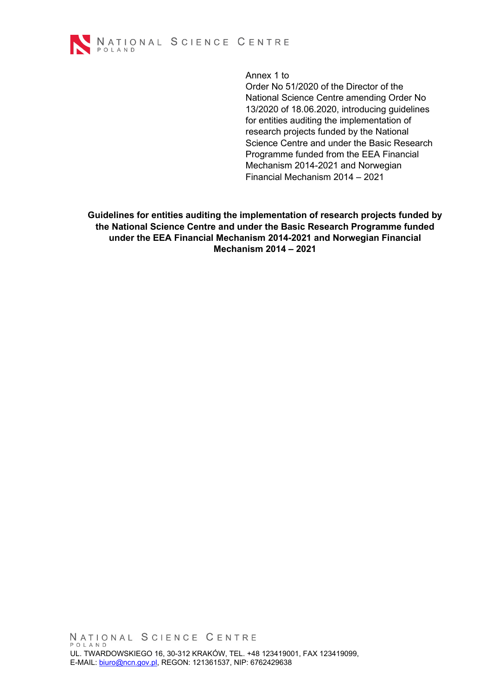

Annex 1 to

Order No 51/2020 of the Director of the National Science Centre amending Order No 13/2020 of 18.06.2020, introducing guidelines for entities auditing the implementation of research projects funded by the National Science Centre and under the Basic Research Programme funded from the EEA Financial Mechanism 2014-2021 and Norwegian Financial Mechanism 2014 – 2021

**Guidelines for entities auditing the implementation of research projects funded by the National Science Centre and under the Basic Research Programme funded under the EEA Financial Mechanism 2014-2021 and Norwegian Financial Mechanism 2014 – 2021**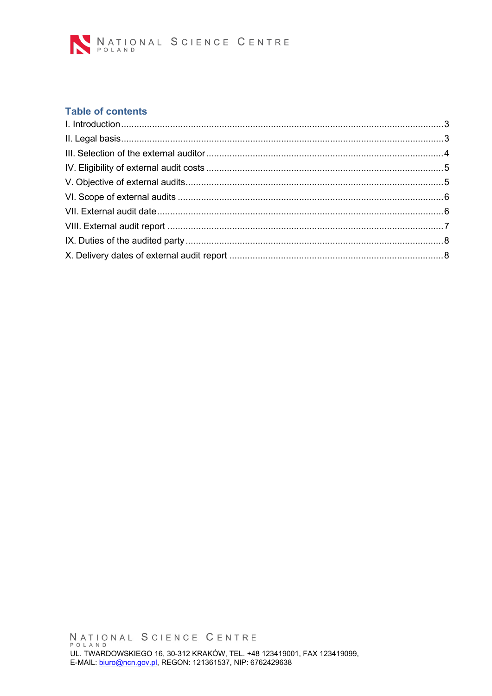

# **Table of contents**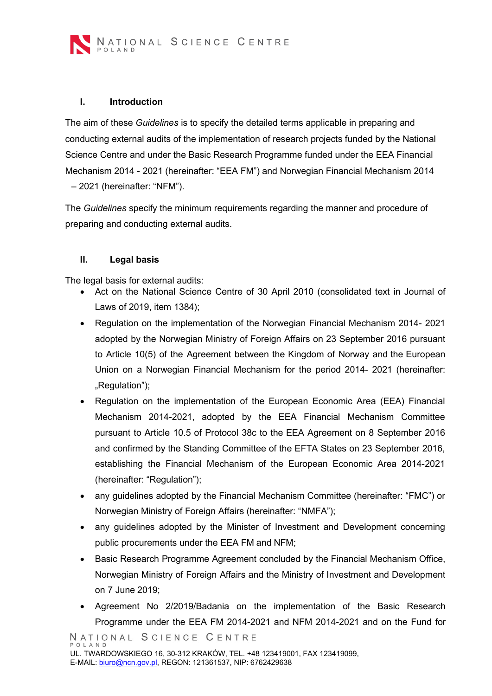

#### <span id="page-2-0"></span>**I. Introduction**

The aim of these *Guidelines* is to specify the detailed terms applicable in preparing and conducting external audits of the implementation of research projects funded by the National Science Centre and under the Basic Research Programme funded under the EEA Financial Mechanism 2014 - 2021 (hereinafter: "EEA FM") and Norwegian Financial Mechanism 2014 – 2021 (hereinafter: "NFM").

The *Guidelines* specify the minimum requirements regarding the manner and procedure of preparing and conducting external audits.

## <span id="page-2-1"></span>**II. Legal basis**

The legal basis for external audits:

- Act on the National Science Centre of 30 April 2010 (consolidated text in Journal of Laws of 2019, item 1384);
- Regulation on the implementation of the Norwegian Financial Mechanism 2014- 2021 adopted by the Norwegian Ministry of Foreign Affairs on 23 September 2016 pursuant to Article 10(5) of the Agreement between the Kingdom of Norway and the European Union on a Norwegian Financial Mechanism for the period 2014- 2021 (hereinafter: "Regulation");
- Regulation on the implementation of the European Economic Area (EEA) Financial Mechanism 2014-2021, adopted by the EEA Financial Mechanism Committee pursuant to Article 10.5 of Protocol 38c to the EEA Agreement on 8 September 2016 and confirmed by the Standing Committee of the EFTA States on 23 September 2016, establishing the Financial Mechanism of the European Economic Area 2014-2021 (hereinafter: "Regulation");
- any guidelines adopted by the Financial Mechanism Committee (hereinafter: "FMC") or Norwegian Ministry of Foreign Affairs (hereinafter: "NMFA");
- any guidelines adopted by the Minister of Investment and Development concerning public procurements under the EEA FM and NFM;
- Basic Research Programme Agreement concluded by the Financial Mechanism Office, Norwegian Ministry of Foreign Affairs and the Ministry of Investment and Development on 7 June 2019;
- Agreement No 2/2019/Badania on the implementation of the Basic Research Programme under the EEA FM 2014-2021 and NFM 2014-2021 and on the Fund for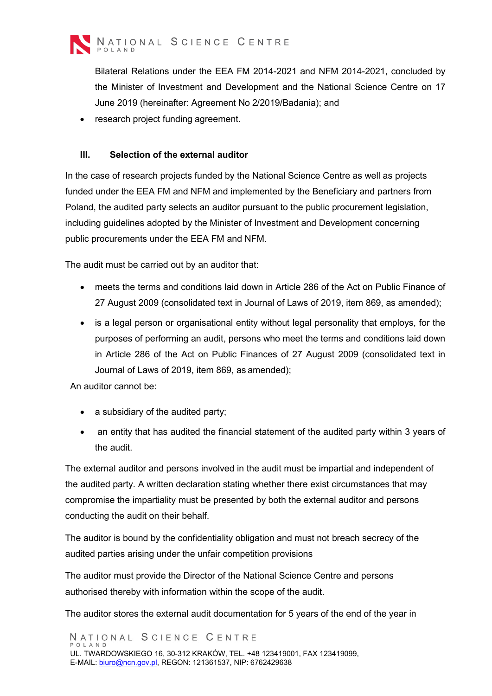

Bilateral Relations under the EEA FM 2014-2021 and NFM 2014-2021, concluded by the Minister of Investment and Development and the National Science Centre on 17 June 2019 (hereinafter: Agreement No 2/2019/Badania); and

<span id="page-3-0"></span>• research project funding agreement.

# **III. Selection of the external auditor**

In the case of research projects funded by the National Science Centre as well as projects funded under the EEA FM and NFM and implemented by the Beneficiary and partners from Poland, the audited party selects an auditor pursuant to the public procurement legislation, including guidelines adopted by the Minister of Investment and Development concerning public procurements under the EEA FM and NFM.

The audit must be carried out by an auditor that:

- meets the terms and conditions laid down in Article 286 of the Act on Public Finance of 27 August 2009 (consolidated text in Journal of Laws of 2019, item 869, as amended);
- is a legal person or organisational entity without legal personality that employs, for the purposes of performing an audit, persons who meet the terms and conditions laid down in Article 286 of the Act on Public Finances of 27 August 2009 (consolidated text in Journal of Laws of 2019, item 869, as amended);

An auditor cannot be:

- a subsidiary of the audited party;
- an entity that has audited the financial statement of the audited party within 3 years of the audit.

The external auditor and persons involved in the audit must be impartial and independent of the audited party. A written declaration stating whether there exist circumstances that may compromise the impartiality must be presented by both the external auditor and persons conducting the audit on their behalf.

The auditor is bound by the confidentiality obligation and must not breach secrecy of the audited parties arising under the unfair competition provisions

The auditor must provide the Director of the National Science Centre and persons authorised thereby with information within the scope of the audit.

The auditor stores the external audit documentation for 5 years of the end of the year in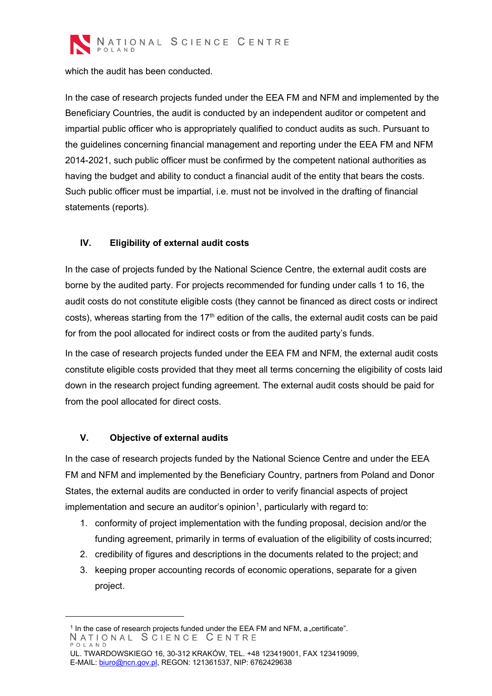

which the audit has been conducted.

In the case of research projects funded under the EEA FM and NFM and implemented by the Beneficiary Countries, the audit is conducted by an independent auditor or competent and impartial public officer who is appropriately qualified to conduct audits as such. Pursuant to the guidelines concerning financial management and reporting under the EEA FM and NFM 2014-2021, such public officer must be confirmed by the competent national authorities as having the budget and ability to conduct a financial audit of the entity that bears the costs. Such public officer must be impartial, i.e. must not be involved in the drafting of financial statements (reports).

# <span id="page-4-0"></span>**IV. Eligibility of external audit costs**

In the case of projects funded by the National Science Centre, the external audit costs are borne by the audited party. For projects recommended for funding under calls 1 to 16, the audit costs do not constitute eligible costs (they cannot be financed as direct costs or indirect costs), whereas starting from the 17<sup>th</sup> edition of the calls, the external audit costs can be paid for from the pool allocated for indirect costs or from the audited party's funds.

In the case of research projects funded under the EEA FM and NFM, the external audit costs constitute eligible costs provided that they meet all terms concerning the eligibility of costs laid down in the research project funding agreement. The external audit costs should be paid for from the pool allocated for direct costs.

## <span id="page-4-1"></span>**V. Objective of external audits**

In the case of research projects funded by the National Science Centre and under the EEA FM and NFM and implemented by the Beneficiary Country, partners from Poland and Donor States, the external audits are conducted in order to verify financial aspects of project implementation and secure an auditor's opinion $^{\text{\tiny{\text{1}}}}$  $^{\text{\tiny{\text{1}}}}$  $^{\text{\tiny{\text{1}}}}$ , particularly with regard to:

- 1. conformity of project implementation with the funding proposal, decision and/or the funding agreement, primarily in terms of evaluation of the eligibility of costs incurred;
- 2. credibility of figures and descriptions in the documents related to the project; and
- 3. keeping proper accounting records of economic operations, separate for a given project.

<span id="page-4-2"></span><sup>&</sup>lt;sup>1</sup> In the case of research projects funded under the EEA FM and NFM, a "certificate".<br>N A T I O N A L S C I E N C E C E N T R E POLAND

UL. TWARDOWSKIEGO 16, 30-312 KRAKÓW, TEL. +48 123419001, FAX 123419099, E-MAIL: [biuro@ncn.gov.pl, R](mailto:biuro@ncn.gov.pl)EGON: 121361537, NIP: 6762429638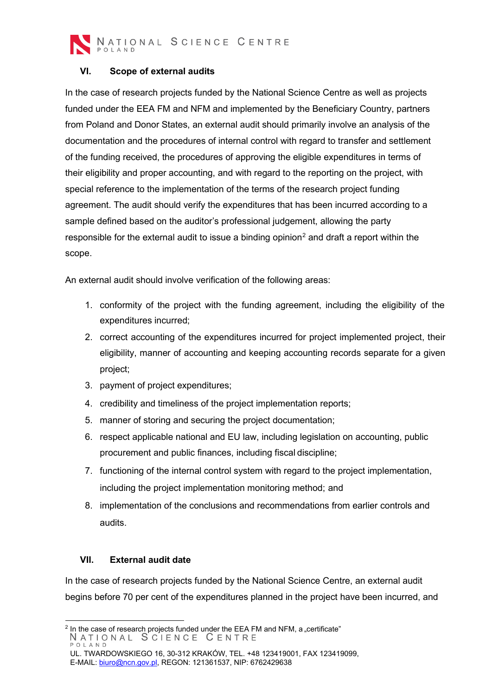

NATIONAL SCIENCE CENTRE

## <span id="page-5-0"></span>**VI. Scope of external audits**

In the case of research projects funded by the National Science Centre as well as projects funded under the EEA FM and NFM and implemented by the Beneficiary Country, partners from Poland and Donor States, an external audit should primarily involve an analysis of the documentation and the procedures of internal control with regard to transfer and settlement of the funding received, the procedures of approving the eligible expenditures in terms of their eligibility and proper accounting, and with regard to the reporting on the project, with special reference to the implementation of the terms of the research project funding agreement. The audit should verify the expenditures that has been incurred according to a sample defined based on the auditor's professional judgement, allowing the party responsible for the external audit to issue a binding opinion<sup>[2](#page-5-2)</sup> and draft a report within the scope.

An external audit should involve verification of the following areas:

- 1. conformity of the project with the funding agreement, including the eligibility of the expenditures incurred;
- 2. correct accounting of the expenditures incurred for project implemented project, their eligibility, manner of accounting and keeping accounting records separate for a given project;
- 3. payment of project expenditures;
- 4. credibility and timeliness of the project implementation reports;
- 5. manner of storing and securing the project documentation;
- 6. respect applicable national and EU law, including legislation on accounting, public procurement and public finances, including fiscal discipline;
- 7. functioning of the internal control system with regard to the project implementation, including the project implementation monitoring method; and
- 8. implementation of the conclusions and recommendations from earlier controls and audits.

#### <span id="page-5-1"></span>**VII. External audit date**

In the case of research projects funded by the National Science Centre, an external audit begins before 70 per cent of the expenditures planned in the project have been incurred, and

<span id="page-5-2"></span><sup>&</sup>lt;sup>2</sup> In the case of research projects funded under the EEA FM and NFM, a "certificate"<br>
N A T I O N A L S C I E N C E C E N T R E POLAND

UL. TWARDOWSKIEGO 16, 30-312 KRAKÓW, TEL. +48 123419001, FAX 123419099, E-MAIL: [biuro@ncn.gov.pl, R](mailto:biuro@ncn.gov.pl)EGON: 121361537, NIP: 6762429638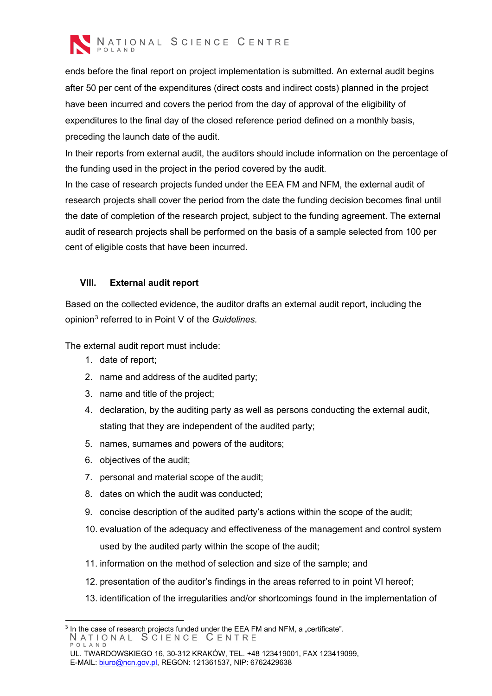

ends before the final report on project implementation is submitted. An external audit begins after 50 per cent of the expenditures (direct costs and indirect costs) planned in the project have been incurred and covers the period from the day of approval of the eligibility of expenditures to the final day of the closed reference period defined on a monthly basis, preceding the launch date of the audit.

In their reports from external audit, the auditors should include information on the percentage of the funding used in the project in the period covered by the audit.

In the case of research projects funded under the EEA FM and NFM, the external audit of research projects shall cover the period from the date the funding decision becomes final until the date of completion of the research project, subject to the funding agreement. The external audit of research projects shall be performed on the basis of a sample selected from 100 per cent of eligible costs that have been incurred.

## <span id="page-6-0"></span>**VIII. External audit report**

Based on the collected evidence, the auditor drafts an external audit report, including the opinion[3](#page-6-1) referred to in Point V of the *Guidelines.*

The external audit report must include:

- 1. date of report;
- 2. name and address of the audited party;
- 3. name and title of the project;
- 4. declaration, by the auditing party as well as persons conducting the external audit, stating that they are independent of the audited party;
- 5. names, surnames and powers of the auditors;
- 6. objectives of the audit;
- 7. personal and material scope of the audit;
- 8. dates on which the audit was conducted;
- 9. concise description of the audited party's actions within the scope of the audit;
- 10. evaluation of the adequacy and effectiveness of the management and control system used by the audited party within the scope of the audit;
- 11. information on the method of selection and size of the sample; and
- 12. presentation of the auditor's findings in the areas referred to in point VI hereof;
- 13. identification of the irregularities and/or shortcomings found in the implementation of

<span id="page-6-1"></span> $3$  In the case of research projects funded under the EEA FM and NFM, a "certificate". NATIONAL SCIENCE CENTRE POLAND

UL. TWARDOWSKIEGO 16, 30-312 KRAKÓW, TEL. +48 123419001, FAX 123419099, E-MAIL: [biuro@ncn.gov.pl, R](mailto:biuro@ncn.gov.pl)EGON: 121361537, NIP: 6762429638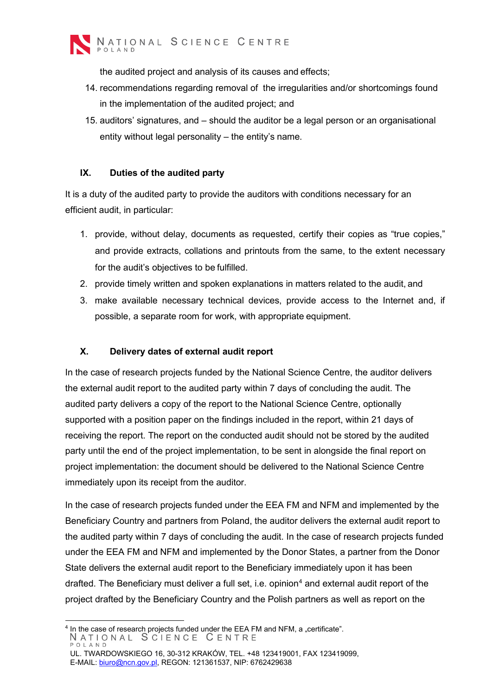

the audited project and analysis of its causes and effects;

- 14. recommendations regarding removal of the irregularities and/or shortcomings found in the implementation of the audited project; and
- 15. auditors' signatures, and should the auditor be a legal person or an organisational entity without legal personality – the entity's name.

#### <span id="page-7-0"></span>**IX. Duties of the audited party**

It is a duty of the audited party to provide the auditors with conditions necessary for an efficient audit, in particular:

- 1. provide, without delay, documents as requested, certify their copies as "true copies," and provide extracts, collations and printouts from the same, to the extent necessary for the audit's objectives to be fulfilled.
- 2. provide timely written and spoken explanations in matters related to the audit, and
- 3. make available necessary technical devices, provide access to the Internet and, if possible, a separate room for work, with appropriate equipment.

#### <span id="page-7-1"></span>**X. Delivery dates of external audit report**

In the case of research projects funded by the National Science Centre, the auditor delivers the external audit report to the audited party within 7 days of concluding the audit. The audited party delivers a copy of the report to the National Science Centre, optionally supported with a position paper on the findings included in the report, within 21 days of receiving the report. The report on the conducted audit should not be stored by the audited party until the end of the project implementation, to be sent in alongside the final report on project implementation: the document should be delivered to the National Science Centre immediately upon its receipt from the auditor.

In the case of research projects funded under the EEA FM and NFM and implemented by the Beneficiary Country and partners from Poland, the auditor delivers the external audit report to the audited party within 7 days of concluding the audit. In the case of research projects funded under the EEA FM and NFM and implemented by the Donor States, a partner from the Donor State delivers the external audit report to the Beneficiary immediately upon it has been drafted. The Beneficiary must deliver a full set, i.e. opinion<sup>[4](#page-7-2)</sup> and external audit report of the project drafted by the Beneficiary Country and the Polish partners as well as report on the

<span id="page-7-2"></span> $4$  In the case of research projects funded under the EEA FM and NFM, a "certificate". NATIONAL SCIENCE CENTRE POLAND

UL. TWARDOWSKIEGO 16, 30-312 KRAKÓW, TEL. +48 123419001, FAX 123419099, E-MAIL: [biuro@ncn.gov.pl, R](mailto:biuro@ncn.gov.pl)EGON: 121361537, NIP: 6762429638